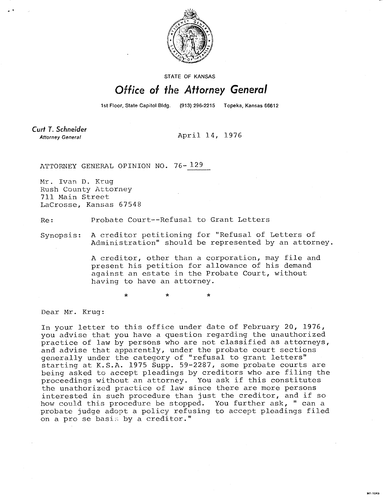

STATE OF KANSAS

## Office of the Attorney General

1st Floor, State Capitol Bldg. (913) 296-2215 Topeka, Kansas 66612

E201-1M

Curt T. Schneider **Attorney General** 

April 14, 1976

ATTORNEY GENERAL OPINION NO. 76-129

Mr. Ivan D. Krug Rush County Attorney 711 Main Street LaCrosse, Kansas 67548

Re: Probate Court--Refusal to Grant Letters

Synopsis: A creditor petitioning for "Refusal of Letters of Administration" should be represented by an attorney.

> A creditor, other than a corporation, may file and present his petition for allowance of his demand against an estate in the Probate Court, without having to have an attorney.

> > \*

Dear Mr. Krug:

In your letter to this office under date of February 20, 1976, you advise that you have a question regarding the unauthorized practice of law by persons who are not classified as attorneys, and advise that apparently, under the probate court sections generally under the category of "refusal to grant letters" starting at K.S.A. 1975 Supp. 59-2287, some probate courts are being asked to accept pleadings by creditors who are filing the proceedings without an attorney. You ask if this constitutes the unathorized practice of law since there are more persons interested in such procedure than just the creditor, and if so how could this procedure be stopped. You further ask, " can a probate judge adopt a policy refusing to accept pleadings filed on a pro se basis by a creditor."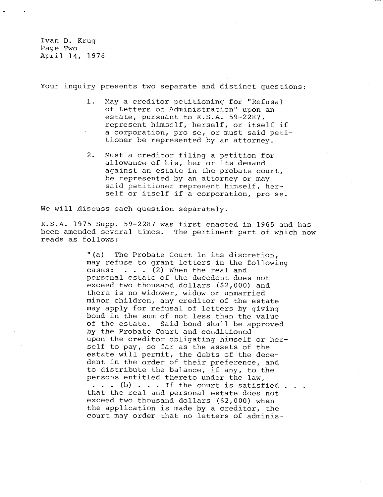Ivan D. Kruq Page Two April 14, 1976

Your inquiry presents two separate and distinct questions:

- 1. May a creditor petitioning for "Refusal of Letters of Administration" upon an estate, pursuant to K.S.A. 59-2287, represent himself, herself, or itself if a corporation, pro se, or must said petitioner be represented by an attorney.
- 2. Must a creditor filing a petition for allowance of his, her or its demand against an estate in the probate court, be represented by an attorney or may said petitioner represent himself, herself or itself if a corporation, pro se.

We will discuss each question separately.

K.S.A. 1975 Supp. 59-2287 was first enacted in 1965 and has been amended several times. The pertinent part of which now reads as follows:

> "(a) The Probate Court in its discretion, may refuse to grant letters in the following cases:  $\ldots$  . (2) When the real and personal estate of the decedent does not exceed two thousand dollars (\$2,000) and there is no widower, widow or unmarried minor children, any creditor of the estate may apply for refusal of letters by giving bond in the sum of not less than the value of the estate. Said bond shall be approved by the Probate Court and conditioned upon the creditor obligating himself or herself to pay, so far as the assets of the estate will permit, the debts of the decedent in the order of their preference, and to distribute the balance, if any, to the persons entitled thereto under the law,  $\cdots$  (b)  $\cdots$  . If the court is satisfied  $\cdots$ that the real and personal estate does not exceed two thousand dollars (\$2,000) when the application is made by a creditor, the court may order that no letters of adminis-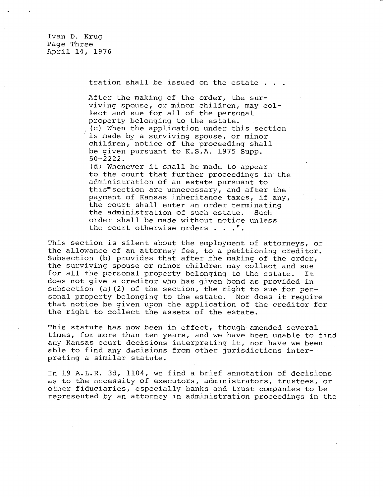Ivan D. Krug Page Three April 14, 1976

tration shall be issued on the estate . . .

After the making of the order, the surviving spouse, or minor children, may collect and sue for all of the personal property belonging to the estate. (c) When the application under this section is made by a surviving spouse, or minor children, notice of the proceeding shall be given pursuant to K.S.A. 1975 Supp. 50-2222.

(d) Whenever it shall be made to appear to the court that further proceedings in the administration of an estate pursuant to this section are unnecessary, and after the payment of Kansas inheritance taxes, if any, the court shall enter an order terminating the administration of such estate. Such. order shall be made without notice unless the court otherwise orders . . .".

This section is silent about the employment of attorneys, or the allowance of an attorney fee, to a petitioning creditor. Subsection (b) provides that after the making of the order, the surviving spouse or minor children may collect and sue for all the personal property belonging to the estate. It does not give a creditor who has given bond as provided in subsection (a)(2) of the section, the right to sue for personal property belonging to the estate. Nor does it require that notice be given upon the application of the creditor for the right to collect the assets of the estate.

This statute has now been in effect, though amended several times, for more than ten years, and we have been unable to find any Kansas court decisions interpreting it, nor have we been able to find any decisions from other jurisdictions interpreting a similar statute.

In 19 A.L.R. 3d, 1104, we find a brief annotation of decisions as to the necessity of executors, administrators, trustees, or other fiduciaries, especially banks and trust companies to be represented by an attorney in administration proceedings in the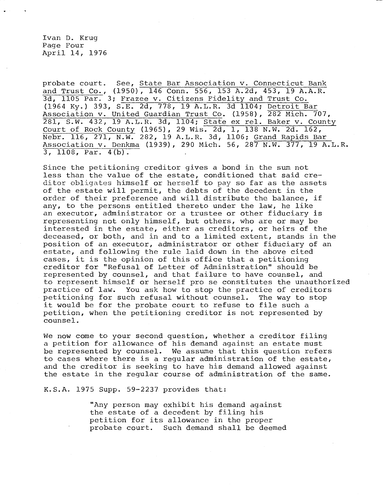Ivan D. Krug Page Four April 14, 1976

probate court. See, State Bar Association v. Connecticut Bank and Trust Co., (1950), 146 Conn. 556, 153 A.2d, 453, 19 A.A.R. 3d, 1105 Par. 3; Frazee v. Citizens Fidelity and Trust Co. (1964 Ky.) 393, S.E. 2d, 778, 19 A.L.R. 3d 1104; Detroit Bar Association v. United Guardian Trust Co. (1958), 282 Mich. 707, 281, S.W. 432, 19 A.L.R. 3d, 1104; State ex rel. Baker v. County Court of Rock County (1965), 29 Wis. 2d, 1, 138 N.W. 2d. 162, Nebr. 116, 271, N.W. 282, 19 A.L.R. 3d, 1106; Grand Rapids Bar Association v. Denkma (1939), 290 Mich. 56, 287 N.W. 377, 19 A.L.R. 3, 1108, Par. 4(b).

Since the petitioning creditor gives a bond in the sum not less than the value of the estate, conditioned that said creditor obligates himself or herself to pay so far as the assets of the estate will permit, the debts of the decedent in the order of their preference and will distribute the balance, if any, to the persons entitled thereto under the law, he like an executor, administrator or a trustee or other fiduciary is representing not only himself, but others, who are or may be interested in the estate, either as creditors, or heirs of the deceased, or both, and in and to a limited extent, stands in the position of an executor, administrator or other fiduciary of an estate, and following the rule laid down in the above cited cases, it is the opinion of this office that a petitioning creditor for "Refusal of Letter of Administration" should be represented by counsel, and that failure to have counsel, and to represent himself or herself pro se constitutes the unauthorized practice of law. You ask how to stop the practice of creditors petitioning for such refusal without counsel. The way to stop it would be for the probate court to refuse to file such a petition, when the petitioning creditor is not represented by counsel.

We now come to your second question, whether a creditor filing a petition for allowance of his demand against an estate must be represented by counsel. We assume that this question refers to cases where there is a regular administration of the estate, and the creditor is seeking to have his demand allowed against the estate in the regular course of administration of the same.

K.S.A. 1975 Supp. 59-2237 provides that:

"Any person may exhibit his demand against the estate of a decedent by filing his petition for its allowance in the proper probate court. Such demand shall be deemed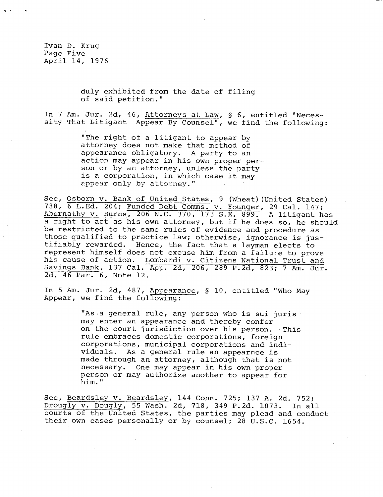Ivan D. Krug Page Five April 14, 1976

> duly exhibited from the date of filing of said petition."

In 7 Am. Jur. 2d, 46, Attorneys at Law, § 6, entitled "Necessity That Litigant Appear By Counsel", we find the following:

> "The right of a litigant to appear by attorney does not make that method of appearance obligatory. A party to an action may appear in his own proper person or by an attorney, unless the party is a corporation, in which case it may appear only by attorney."

See, Osborn v. Bank of United States, 9 (Wheat) (United States) 738, 6 L.Ed. 204; Funded Debt Comms. v. Younger, 29 Cal. 147; Abernathy v. Burns, 206 N.C. 370, 173 S.E. 899. A litigant has a right to act as his own attorney, but if he does so, he should be restricted to the same rules of evidence and procedure as those qualified to practice law; otherwise, ignorance is justifiably rewarded. Hence, the fact that a layman elects to represent himself does not excuse him from a failure to prove his cause of action. Lombardi v. Citizens National Trust and Savings Bank, 137 Cal. App. 2d, 206, 289 P.2d, 823; 7 Am. Jur. 2d, 46 Par. 6, Note 12.

In 5 Am. Jur. 2d, 487, Appearance, § 10, entitled "Who May Appear, we find the following:

> "As a general rule, any person who is sui juris may enter an appearance and thereby confer on the court jurisdiction over his person. This rule embraces domestic corporations, foreign corporations, municipal corporations and individuals. As a general rule an appearnce is made through an attorney, although that is not necessary. One may appear in his own proper person or may authorize another to appear for him."

See, Beardsley v. Beardsley, 144 Conn. 725; 137 A. 2d. 752; Drougly v. Dougly, 55 Wash. 2d, 718, 349 P.2d. 1073. In all courts of the United States, the parties may plead and conduct their own cases personally or by counsel; 28 U.S.C. 1654.